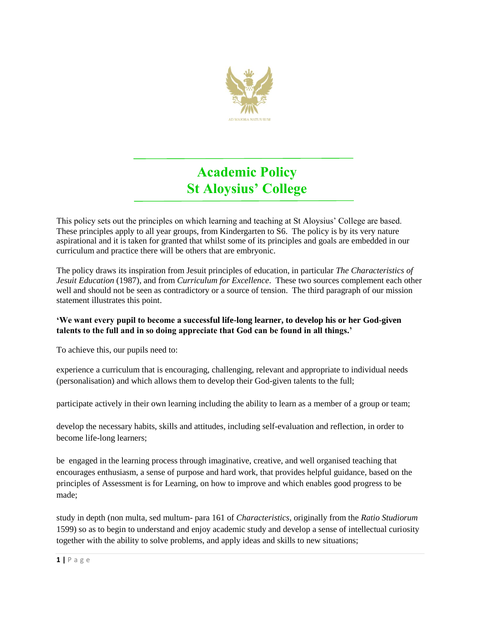

## **Academic Policy St Aloysius' College**

This policy sets out the principles on which learning and teaching at St Aloysius' College are based. These principles apply to all year groups, from Kindergarten to S6. The policy is by its very nature aspirational and it is taken for granted that whilst some of its principles and goals are embedded in our curriculum and practice there will be others that are embryonic.

The policy draws its inspiration from Jesuit principles of education, in particular *The Characteristics of Jesuit Education* (1987), and from *Curriculum for Excellence*. These two sources complement each other well and should not be seen as contradictory or a source of tension. The third paragraph of our mission statement illustrates this point.

## **'We want every pupil to become a successful life-long learner, to develop his or her God-given talents to the full and in so doing appreciate that God can be found in all things.'**

To achieve this, our pupils need to:

experience a curriculum that is encouraging, challenging, relevant and appropriate to individual needs (personalisation) and which allows them to develop their God-given talents to the full;

participate actively in their own learning including the ability to learn as a member of a group or team;

develop the necessary habits, skills and attitudes, including self-evaluation and reflection, in order to become life-long learners;

be engaged in the learning process through imaginative, creative, and well organised teaching that encourages enthusiasm, a sense of purpose and hard work, that provides helpful guidance, based on the principles of Assessment is for Learning, on how to improve and which enables good progress to be made;

study in depth (non multa, sed multum- para 161 of *Characteristics*, originally from the *Ratio Studiorum* 1599) so as to begin to understand and enjoy academic study and develop a sense of intellectual curiosity together with the ability to solve problems, and apply ideas and skills to new situations;